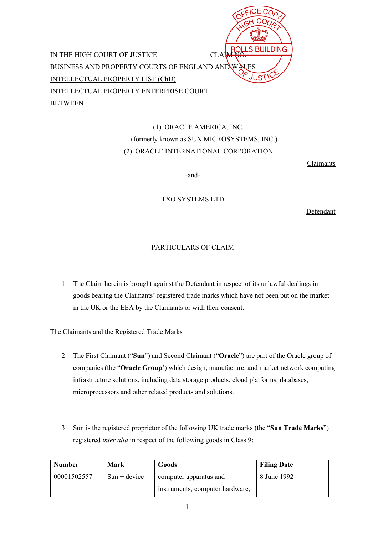|                                                       | ROLLS BUILDING |
|-------------------------------------------------------|----------------|
| IN THE HIGH COURT OF JUSTICE                          |                |
| <b>BUSINESS AND PROPERTY COURTS OF ENGLAND AND W.</b> | <b>ALES</b>    |
| INTELLECTUAL PROPERTY LIST (ChD)                      | <b>JUSTICK</b> |
| INTELLECTUAL PROPERTY ENTERPRISE COURT                |                |
| <b>BETWEEN</b>                                        |                |

# (1) ORACLE AMERICA, INC. (formerly known as SUN MICROSYSTEMS, INC.) (2) ORACLE INTERNATIONAL CORPORATION

 $\sim$   $-$ 

Claimants

-and-

TXO SYSTEMS LTD

Defendant

## PARTICULARS OF CLAIM

1. The Claim herein is brought against the Defendant in respect of its unlawful dealings in goods bearing the Claimants' registered trade marks which have not been put on the market in the UK or the EEA by the Claimants or with their consent.

## The Claimants and the Registered Trade Marks

- 2. The First Claimant ("**Sun**") and Second Claimant ("**Oracle**") are part of the Oracle group of companies (the "**Oracle Group**') which design, manufacture, and market network computing infrastructure solutions, including data storage products, cloud platforms, databases, microprocessors and other related products and solutions.
- 3. Sun is the registered proprietor of the following UK trade marks (the "**Sun Trade Marks**") registered *inter alia* in respect of the following goods in Class 9:

| <b>Number</b> | Mark           | Goods                           | <b>Filing Date</b> |
|---------------|----------------|---------------------------------|--------------------|
| 00001502557   | $Sun + device$ | computer apparatus and          | 8 June 1992        |
|               |                | instruments; computer hardware; |                    |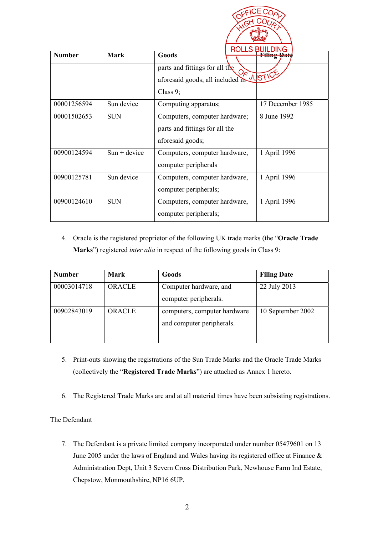| <b>Number</b> | <b>Mark</b>    | ROLLS BUIL<br>Goods                                                                                            | <b>DING</b><br>rmng pati |
|---------------|----------------|----------------------------------------------------------------------------------------------------------------|--------------------------|
|               |                | parts and fittings for all the<br>$Q_{\mathcal{F}}$<br>aforesaid goods; all included in JUSTICE<br>Class $9$ ; |                          |
| 00001256594   | Sun device     | Computing apparatus;                                                                                           | 17 December 1985         |
| 00001502653   | <b>SUN</b>     | Computers, computer hardware;<br>parts and fittings for all the<br>aforesaid goods;                            | 8 June 1992              |
| 00900124594   | $Sun + device$ | Computers, computer hardware,<br>computer peripherals                                                          | 1 April 1996             |
| 00900125781   | Sun device     | Computers, computer hardware,<br>computer peripherals;                                                         | 1 April 1996             |
| 00900124610   | <b>SUN</b>     | Computers, computer hardware,<br>computer peripherals;                                                         | 1 April 1996             |

4. Oracle is the registered proprietor of the following UK trade marks (the "**Oracle Trade Marks**") registered *inter alia* in respect of the following goods in Class 9:

| <b>Number</b> | Mark          | Goods                        | <b>Filing Date</b> |
|---------------|---------------|------------------------------|--------------------|
| 00003014718   | <b>ORACLE</b> | Computer hardware, and       | 22 July 2013       |
|               |               | computer peripherals.        |                    |
| 00902843019   | ORACLE        | computers, computer hardware | 10 September 2002  |
|               |               | and computer peripherals.    |                    |
|               |               |                              |                    |

- 5. Print-outs showing the registrations of the Sun Trade Marks and the Oracle Trade Marks (collectively the "**Registered Trade Marks**") are attached as Annex 1 hereto.
- 6. The Registered Trade Marks are and at all material times have been subsisting registrations.

## The Defendant

7. The Defendant is a private limited company incorporated under number 05479601 on 13 June 2005 under the laws of England and Wales having its registered office at Finance  $\&$ Administration Dept, Unit 3 Severn Cross Distribution Park, Newhouse Farm Ind Estate, Chepstow, Monmouthshire, NP16 6UP.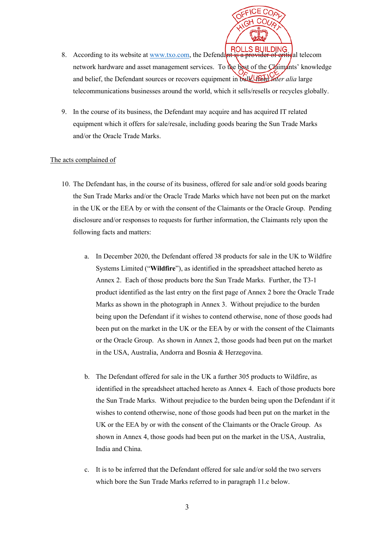

- 8. According to its website at  $\frac{www.txo.com}{two.tm}$ , the Defendant is a provider of gritical telecom network hardware and asset management services. To the best of the Claimants' knowledge and belief, the Defendant sources or recovers equipment in bulk, from *inter alia* large telecommunications businesses around the world, which it sells/resells or recycles globally.
- 9. In the course of its business, the Defendant may acquire and has acquired IT related equipment which it offers for sale/resale, including goods bearing the Sun Trade Marks and/or the Oracle Trade Marks.

## The acts complained of

- 10. The Defendant has, in the course of its business, offered for sale and/or sold goods bearing the Sun Trade Marks and/or the Oracle Trade Marks which have not been put on the market in the UK or the EEA by or with the consent of the Claimants or the Oracle Group. Pending disclosure and/or responses to requests for further information, the Claimants rely upon the following facts and matters:
	- a. In December 2020, the Defendant offered 38 products for sale in the UK to Wildfire Systems Limited ("**Wildfire**"), as identified in the spreadsheet attached hereto as Annex 2. Each of those products bore the Sun Trade Marks. Further, the T3-1 product identified as the last entry on the first page of Annex 2 bore the Oracle Trade Marks as shown in the photograph in Annex 3. Without prejudice to the burden being upon the Defendant if it wishes to contend otherwise, none of those goods had been put on the market in the UK or the EEA by or with the consent of the Claimants or the Oracle Group. As shown in Annex 2, those goods had been put on the market in the USA, Australia, Andorra and Bosnia & Herzegovina.
	- b. The Defendant offered for sale in the UK a further 305 products to Wildfire, as identified in the spreadsheet attached hereto as Annex 4. Each of those products bore the Sun Trade Marks. Without prejudice to the burden being upon the Defendant if it wishes to contend otherwise, none of those goods had been put on the market in the UK or the EEA by or with the consent of the Claimants or the Oracle Group. As shown in Annex 4, those goods had been put on the market in the USA, Australia, India and China.
	- c. It is to be inferred that the Defendant offered for sale and/or sold the two servers which bore the Sun Trade Marks referred to in paragraph 11.c below.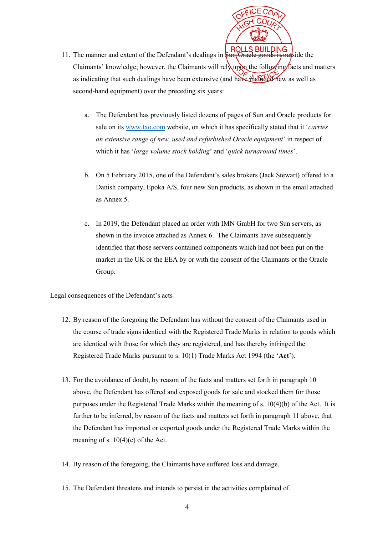- 11. The manner and extent of the Defendant's dealings in **FIOLLS BUILDING** Claimants' knowledge; however, the Claimants will rely upon the following facts and matters as indicating that such dealings have been extensive (and have included new as well as second-hand equipment) over the preceding six years:
	- a. The Defendant has previously listed dozens of pages of Sun and Oracle products for sale on its www.txo.com website, on which it has specifically stated that it '*carries an extensive range of new, used and refurbished Oracle equipment*' in respect of which it has '*large volume stock holding*' and '*quick turnaround times*'.
	- b. On 5 February 2015, one of the Defendant's sales brokers (Jack Stewart) offered to a Danish company, Epoka A/S, four new Sun products, as shown in the email attached as Annex 5.
	- c. In 2019, the Defendant placed an order with IMN GmbH for two Sun servers, as shown in the invoice attached as Annex 6. The Claimants have subsequently identified that those servers contained components which had not been put on the market in the UK or the EEA by or with the consent of the Claimants or the Oracle Group.

## Legal consequences of the Defendant's acts

- 12. By reason of the foregoing the Defendant has without the consent of the Claimants used in the course of trade signs identical with the Registered Trade Marks in relation to goods which are identical with those for which they are registered, and has thereby infringed the Registered Trade Marks pursuant to s. 10(1) Trade Marks Act 1994 (the '**Act**').
- 13. For the avoidance of doubt, by reason of the facts and matters set forth in paragraph 10 above, the Defendant has offered and exposed goods for sale and stocked them for those purposes under the Registered Trade Marks within the meaning of s. 10(4)(b) of the Act. It is further to be inferred, by reason of the facts and matters set forth in paragraph 11 above, that the Defendant has imported or exported goods under the Registered Trade Marks within the meaning of s.  $10(4)(c)$  of the Act.
- 14. By reason of the foregoing, the Claimants have suffered loss and damage.
- 15. The Defendant threatens and intends to persist in the activities complained of.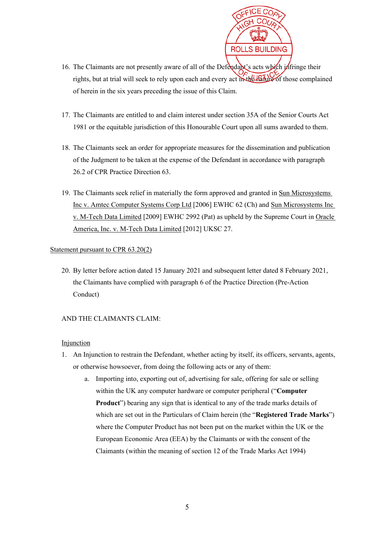

- 16. The Claimants are not presently aware of all of the Defendant's acts which infringe their rights, but at trial will seek to rely upon each and every act in the nature of those complained of herein in the six years preceding the issue of this Claim.
- 17. The Claimants are entitled to and claim interest under section 35A of the Senior Courts Act 1981 or the equitable jurisdiction of this Honourable Court upon all sums awarded to them.
- 18. The Claimants seek an order for appropriate measures for the dissemination and publication of the Judgment to be taken at the expense of the Defendant in accordance with paragraph 26.2 of CPR Practice Direction 63.
- 19. The Claimants seek relief in materially the form approved and granted in Sun Microsystems Inc v. Amtec Computer Systems Corp Ltd [2006] EWHC 62 (Ch) and Sun Microsystems Inc v. M-Tech Data Limited [2009] EWHC 2992 (Pat) as upheld by the Supreme Court in Oracle America, Inc. v. M-Tech Data Limited [2012] UKSC 27.

## Statement pursuant to CPR 63.20(2)

20. By letter before action dated 15 January 2021 and subsequent letter dated 8 February 2021, the Claimants have complied with paragraph 6 of the Practice Direction (Pre-Action Conduct)

## AND THE CLAIMANTS CLAIM:

## Injunction

- 1. An Injunction to restrain the Defendant, whether acting by itself, its officers, servants, agents, or otherwise howsoever, from doing the following acts or any of them:
	- a. Importing into, exporting out of, advertising for sale, offering for sale or selling within the UK any computer hardware or computer peripheral ("**Computer Product**") bearing any sign that is identical to any of the trade marks details of which are set out in the Particulars of Claim herein (the "**Registered Trade Marks**") where the Computer Product has not been put on the market within the UK or the European Economic Area (EEA) by the Claimants or with the consent of the Claimants (within the meaning of section 12 of the Trade Marks Act 1994)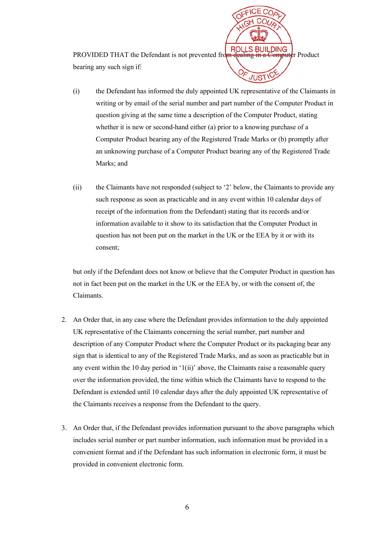**PROVIDED THAT the Defendant is not prevented from dealing in a Computer Product** bearing any such sign if:

- (i) the Defendant has informed the duly appointed UK representative of the Claimants in writing or by email of the serial number and part number of the Computer Product in question giving at the same time a description of the Computer Product, stating whether it is new or second-hand either (a) prior to a knowing purchase of a Computer Product bearing any of the Registered Trade Marks or (b) promptly after an unknowing purchase of a Computer Product bearing any of the Registered Trade Marks; and
- (ii) the Claimants have not responded (subject to '2' below, the Claimants to provide any such response as soon as practicable and in any event within 10 calendar days of receipt of the information from the Defendant) stating that its records and/or information available to it show to its satisfaction that the Computer Product in question has not been put on the market in the UK or the EEA by it or with its consent;

but only if the Defendant does not know or believe that the Computer Product in question has not in fact been put on the market in the UK or the EEA by, or with the consent of, the Claimants.

- 2. An Order that, in any case where the Defendant provides information to the duly appointed UK representative of the Claimants concerning the serial number, part number and description of any Computer Product where the Computer Product or its packaging bear any sign that is identical to any of the Registered Trade Marks, and as soon as practicable but in any event within the 10 day period in '1(ii)' above, the Claimants raise a reasonable query over the information provided, the time within which the Claimants have to respond to the Defendant is extended until 10 calendar days after the duly appointed UK representative of the Claimants receives a response from the Defendant to the query.
- 3. An Order that, if the Defendant provides information pursuant to the above paragraphs which includes serial number or part number information, such information must be provided in a convenient format and if the Defendant has such information in electronic form, it must be provided in convenient electronic form.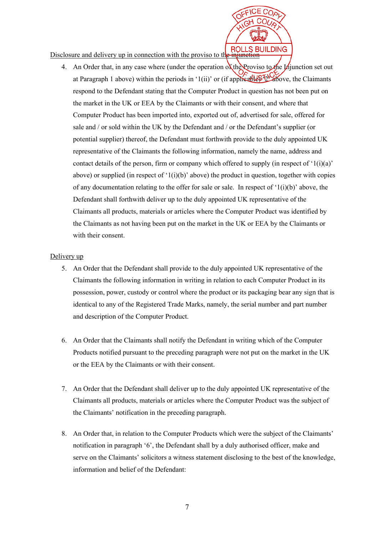**ROLLS BUILDING** Disclosure and delivery up in connection with the proviso to the injunction

4. An Order that, in any case where (under the operation of the Proviso to the Injunction set out at Paragraph 1 above) within the periods in '1(ii)' or (if applied  $\mathbb{E}$  to  $\mathbb{E}$  above, the Claimants respond to the Defendant stating that the Computer Product in question has not been put on the market in the UK or EEA by the Claimants or with their consent, and where that Computer Product has been imported into, exported out of, advertised for sale, offered for sale and / or sold within the UK by the Defendant and / or the Defendant's supplier (or potential supplier) thereof, the Defendant must forthwith provide to the duly appointed UK representative of the Claimants the following information, namely the name, address and contact details of the person, firm or company which offered to supply (in respect of '1(i)(a)' above) or supplied (in respect of ' $1(i)(b)$ ' above) the product in question, together with copies of any documentation relating to the offer for sale or sale. In respect of ' $1(i)(b)$ ' above, the Defendant shall forthwith deliver up to the duly appointed UK representative of the Claimants all products, materials or articles where the Computer Product was identified by the Claimants as not having been put on the market in the UK or EEA by the Claimants or with their consent.

#### Delivery up

- 5. An Order that the Defendant shall provide to the duly appointed UK representative of the Claimants the following information in writing in relation to each Computer Product in its possession, power, custody or control where the product or its packaging bear any sign that is identical to any of the Registered Trade Marks, namely, the serial number and part number and description of the Computer Product.
- 6. An Order that the Claimants shall notify the Defendant in writing which of the Computer Products notified pursuant to the preceding paragraph were not put on the market in the UK or the EEA by the Claimants or with their consent.
- 7. An Order that the Defendant shall deliver up to the duly appointed UK representative of the Claimants all products, materials or articles where the Computer Product was the subject of the Claimants' notification in the preceding paragraph.
- 8. An Order that, in relation to the Computer Products which were the subject of the Claimants' notification in paragraph '6', the Defendant shall by a duly authorised officer, make and serve on the Claimants' solicitors a witness statement disclosing to the best of the knowledge, information and belief of the Defendant: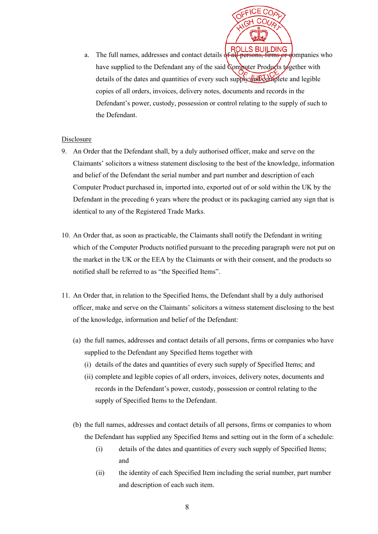

a. The full names, addresses and contact details of  $\overline{ROLLS}$  BUILDING a. The full names, addresses and contact details of  $\overline{r}$  and  $\overline{r}$  persons, firms or gompanies who have supplied to the Defendant any of the said Computer Products together with details of the dates and quantities of every such supply and complete and legible copies of all orders, invoices, delivery notes, documents and records in the Defendant's power, custody, possession or control relating to the supply of such to the Defendant.

## Disclosure

- 9. An Order that the Defendant shall, by a duly authorised officer, make and serve on the Claimants' solicitors a witness statement disclosing to the best of the knowledge, information and belief of the Defendant the serial number and part number and description of each Computer Product purchased in, imported into, exported out of or sold within the UK by the Defendant in the preceding 6 years where the product or its packaging carried any sign that is identical to any of the Registered Trade Marks.
- 10. An Order that, as soon as practicable, the Claimants shall notify the Defendant in writing which of the Computer Products notified pursuant to the preceding paragraph were not put on the market in the UK or the EEA by the Claimants or with their consent, and the products so notified shall be referred to as "the Specified Items".
- 11. An Order that, in relation to the Specified Items, the Defendant shall by a duly authorised officer, make and serve on the Claimants' solicitors a witness statement disclosing to the best of the knowledge, information and belief of the Defendant:
	- (a) the full names, addresses and contact details of all persons, firms or companies who have supplied to the Defendant any Specified Items together with
		- (i) details of the dates and quantities of every such supply of Specified Items; and
		- (ii) complete and legible copies of all orders, invoices, delivery notes, documents and records in the Defendant's power, custody, possession or control relating to the supply of Specified Items to the Defendant.
	- (b) the full names, addresses and contact details of all persons, firms or companies to whom the Defendant has supplied any Specified Items and setting out in the form of a schedule:
		- (i) details of the dates and quantities of every such supply of Specified Items; and
		- (ii) the identity of each Specified Item including the serial number, part number and description of each such item.